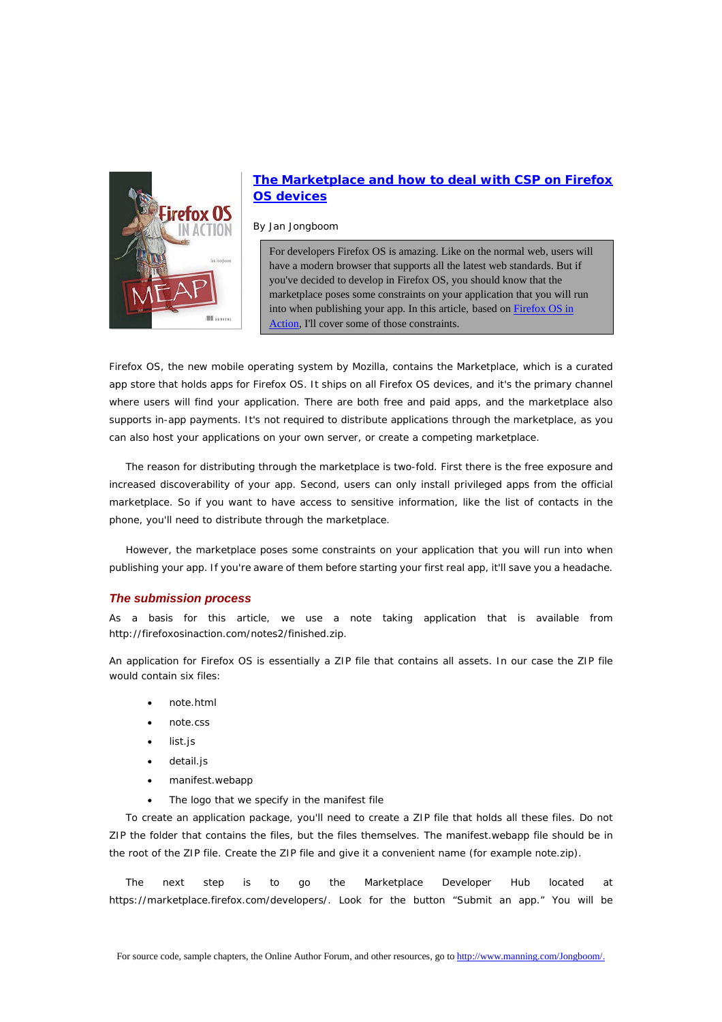

# **[The Marketplace and how to deal with CSP on Firefox](http://www.manning.com/jongboom/)  [OS devices](http://www.manning.com/jongboom/)**

By Jan Jongboom

For developers Firefox OS is amazing. Like on the normal web, users will have a modern browser that supports all the latest web standards. But if you've decided to develop in Firefox OS, you should know that the marketplace poses some constraints on your application that you will run into when publishing your app. In this article, based on **Firefox OS** in [Action,](http://www.manning.com/jongboom/) I'll cover some of those constraints.

Firefox OS, the new mobile operating system by Mozilla, contains the Marketplace, which is a curated app store that holds apps for Firefox OS. It ships on all Firefox OS devices, and it's the primary channel where users will find your application. There are both free and paid apps, and the marketplace also supports in-app payments. It's not required to distribute applications through the marketplace, as you can also host your applications on your own server, or create a competing marketplace.

The reason for distributing through the marketplace is two-fold. First there is the free exposure and increased discoverability of your app. Second, users can only install privileged apps from the official marketplace. So if you want to have access to sensitive information, like the list of contacts in the phone, you'll need to distribute through the marketplace.

However, the marketplace poses some constraints on your application that you will run into when publishing your app. If you're aware of them before starting your first real app, it'll save you a headache.

# *The submission process*

As a basis for this article, we use a note taking application that is available from http://firefoxosinaction.com/notes2/finished.zip.

An application for Firefox OS is essentially a ZIP file that contains all assets. In our case the ZIP file would contain six files:

- note.html
- note.css
- list.js
- detail.js
- manifest.webapp
- The logo that we specify in the manifest file

To create an application package, you'll need to create a ZIP file that holds all these files. Do not ZIP the folder that contains the files, but the files themselves. The manifest.webapp file should be in the root of the ZIP file. Create the ZIP file and give it a convenient name (for example note.zip).

The next step is to go the Marketplace Developer Hub located at https://marketplace.firefox.com/developers/. Look for the button "Submit an app." You will be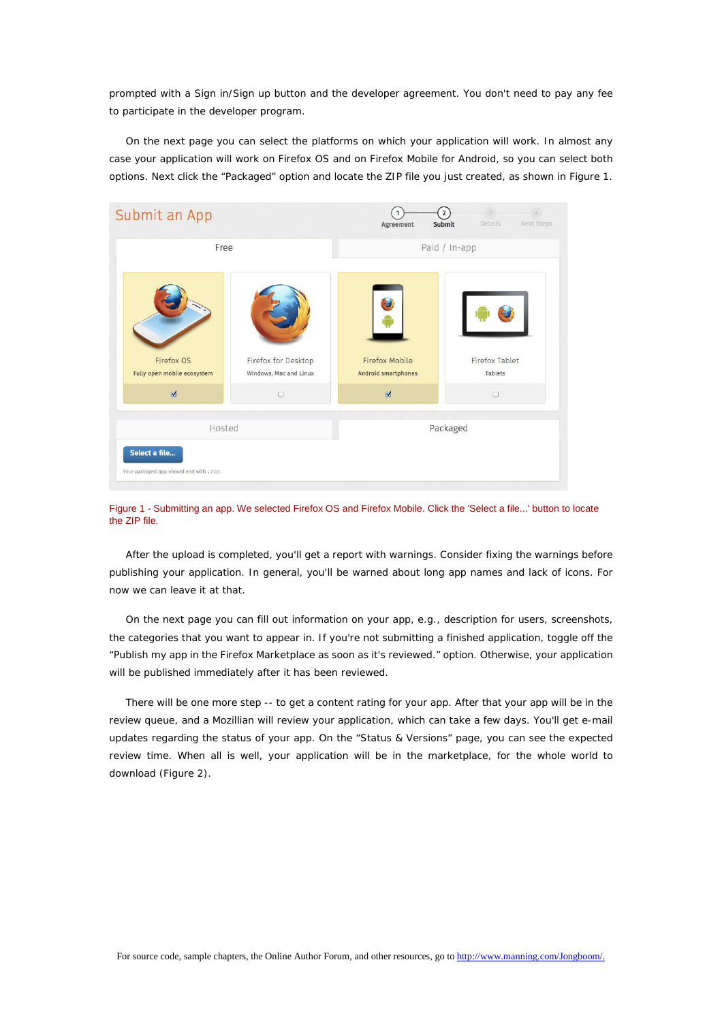prompted with a Sign in/Sign up button and the developer agreement. You don't need to pay any fee to participate in the developer program.

On the next page you can select the platforms on which your application will work. In almost any case your application will work on Firefox OS and on Firefox Mobile for Android, so you can select both options. Next click the "Packaged" option and locate the ZIP file you just created, as shown in Figure 1.



Figure 1 - Submitting an app. We selected Firefox OS and Firefox Mobile. Click the 'Select a file...' button to locate the ZIP file.

After the upload is completed, you'll get a report with warnings. Consider fixing the warnings before publishing your application. In general, you'll be warned about long app names and lack of icons. For now we can leave it at that.

On the next page you can fill out information on your app, e.g., description for users, screenshots, the categories that you want to appear in. If you're not submitting a finished application, toggle off the "Publish my app in the Firefox Marketplace as soon as it's reviewed." option. Otherwise, your application will be published immediately after it has been reviewed.

There will be one more step -- to get a content rating for your app. After that your app will be in the review queue, and a Mozillian will review your application, which can take a few days. You'll get e-mail updates regarding the status of your app. On the "Status & Versions" page, you can see the expected review time. When all is well, your application will be in the marketplace, for the whole world to download (Figure 2).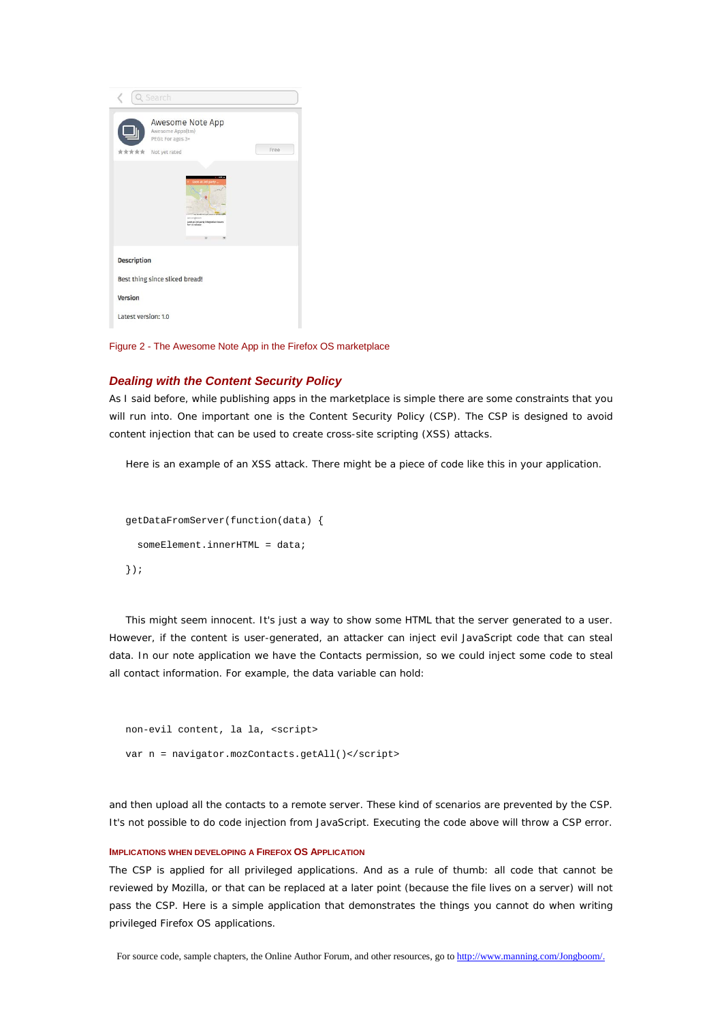|                     | Q Search                                                                                                                |
|---------------------|-------------------------------------------------------------------------------------------------------------------------|
| *****               | Awesome Note App<br>Awesome Apps(tm)<br>PEGI: For ages 3+<br>Free<br>Not yet rated                                      |
|                     | Look at 3rd party<br>an Jongboom<br>Look at 3rd party integration issues<br>for 1.5 release<br>$\left( \bullet \right)$ |
| <b>Description</b>  | Best thing since sliced bread!                                                                                          |
| Version             |                                                                                                                         |
| Latest version: 1.0 |                                                                                                                         |

Figure 2 - The Awesome Note App in the Firefox OS marketplace

# *Dealing with the Content Security Policy*

As I said before, while publishing apps in the marketplace is simple there are some constraints that you will run into. One important one is the Content Security Policy (CSP). The CSP is designed to avoid content injection that can be used to create cross-site scripting (XSS) attacks.

Here is an example of an XSS attack. There might be a piece of code like this in your application.

```
getDataFromServer(function(data) {
  someElement.innerHTML = data;
});
```
This might seem innocent. It's just a way to show some HTML that the server generated to a user. However, if the content is user-generated, an attacker can inject evil JavaScript code that can steal data. In our note application we have the Contacts permission, so we could inject some code to steal all contact information. For example, the data variable can hold:

```
non-evil content, la la, <script>
var n = navigator.mozContacts.getAll()</script>
```
and then upload all the contacts to a remote server. These kind of scenarios are prevented by the CSP. It's not possible to do code injection from JavaScript. Executing the code above will throw a CSP error.

#### **IMPLICATIONS WHEN DEVELOPING A FIREFOX OS APPLICATION**

The CSP is applied for all privileged applications. And as a rule of thumb: all code that cannot be reviewed by Mozilla, or that can be replaced at a later point (because the file lives on a server) will not pass the CSP. Here is a simple application that demonstrates the things you cannot do when writing privileged Firefox OS applications.

For source code, sample chapters, the Online Author Forum, and other resources, go t[o http://www.manning.com/Jongboom/.](http://www.manning.com/Jongboom/)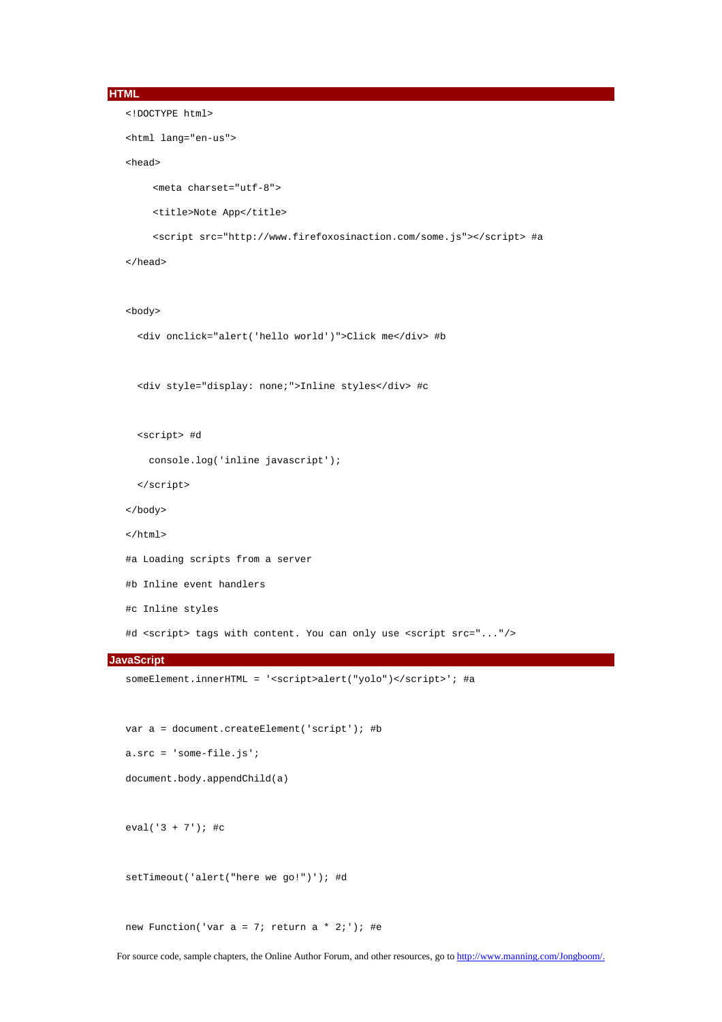```
HTML
```

```
<!DOCTYPE html>
<html lang="en-us">
<head>
    <meta charset="utf-8">
    <title>Note App</title>
    <script src="http://www.firefoxosinaction.com/some.js"></script> #a
</head>
<body>
  <div onclick="alert('hello world')">Click me</div> #b
```
<div style="display: none;">Inline styles</div> #c

```
 <script> #d
```

```
 console.log('inline javascript');
```

```
 </script>
```

```
</body>
```

```
</html>
```

```
#a Loading scripts from a server
```

```
#b Inline event handlers
```

```
#c Inline styles
```
#d <script> tags with content. You can only use <script src="..."/>

#### **JavaScript**

```
someElement.innerHTML = '<script>alert("yolo")</script>'; #a
```
var a = document.createElement('script'); #b

```
a.src = 'some-file.js';
```

```
document.body.appendChild(a)
```
eval('3 + 7'); #c

setTimeout('alert("here we go!")'); #d

new Function('var  $a = 7$ ; return  $a * 2$ ;'); #e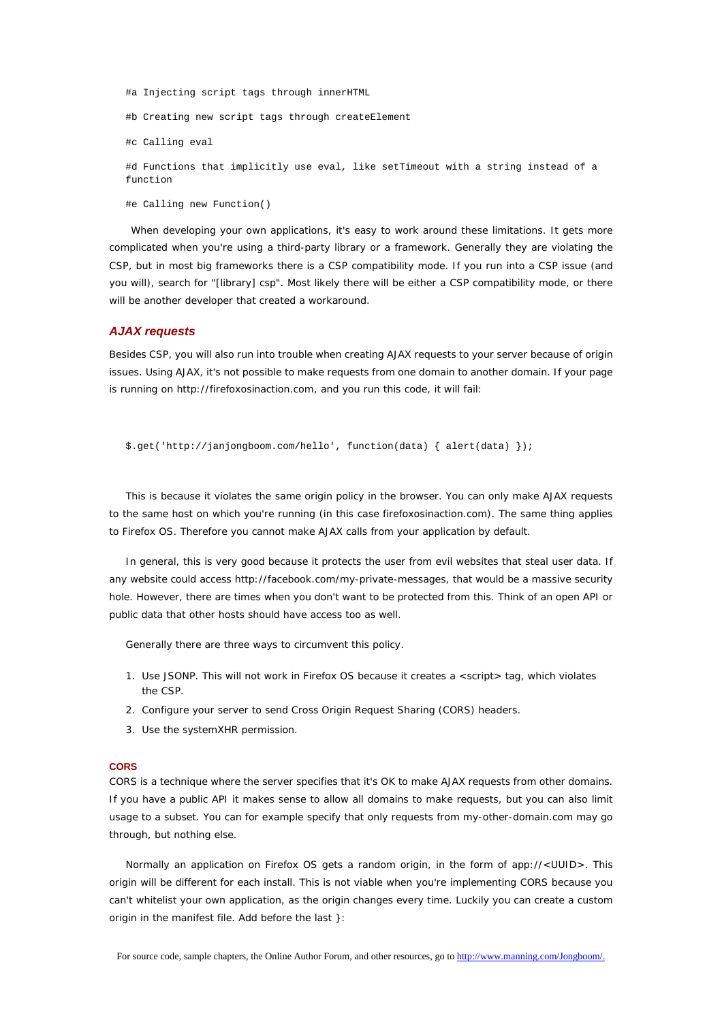#a Injecting script tags through innerHTML

#b Creating new script tags through createElement

#c Calling eval

#d Functions that implicitly use eval, like setTimeout with a string instead of a function

#e Calling new Function()

When developing your own applications, it's easy to work around these limitations. It gets more complicated when you're using a third-party library or a framework. Generally they are violating the CSP, but in most big frameworks there is a CSP compatibility mode. If you run into a CSP issue (and you will), search for "[library] csp". Most likely there will be either a CSP compatibility mode, or there will be another developer that created a workaround.

#### *AJAX requests*

Besides CSP, you will also run into trouble when creating AJAX requests to your server because of origin issues. Using AJAX, it's not possible to make requests from one domain to another domain. If your page is running on http://firefoxosinaction.com, and you run this code, it will fail:

```
$.get('http://janjongboom.com/hello', function(data) { alert(data) });
```
This is because it violates the same origin policy in the browser. You can only make AJAX requests to the same host on which you're running (in this case firefoxosinaction.com). The same thing applies to Firefox OS. Therefore you cannot make AJAX calls from your application by default.

In general, this is very good because it protects the user from evil websites that steal user data. If any website could access http://facebook.com/my-private-messages, that would be a massive security hole. However, there are times when you don't want to be protected from this. Think of an open API or public data that other hosts should have access too as well.

Generally there are three ways to circumvent this policy.

- 1. Use JSONP. This will not work in Firefox OS because it creates a <script> tag, which violates the CSP.
- 2. Configure your server to send Cross Origin Request Sharing (CORS) headers.
- 3. Use the systemXHR permission.

## **CORS**

CORS is a technique where the server specifies that it's OK to make AJAX requests from other domains. If you have a public API it makes sense to allow all domains to make requests, but you can also limit usage to a subset. You can for example specify that only requests from my-other-domain.com may go through, but nothing else.

Normally an application on Firefox OS gets a random origin, in the form of app://<UUID>. This origin will be different for each install. This is not viable when you're implementing CORS because you can't whitelist your own application, as the origin changes every time. Luckily you can create a custom origin in the manifest file. Add before the last }: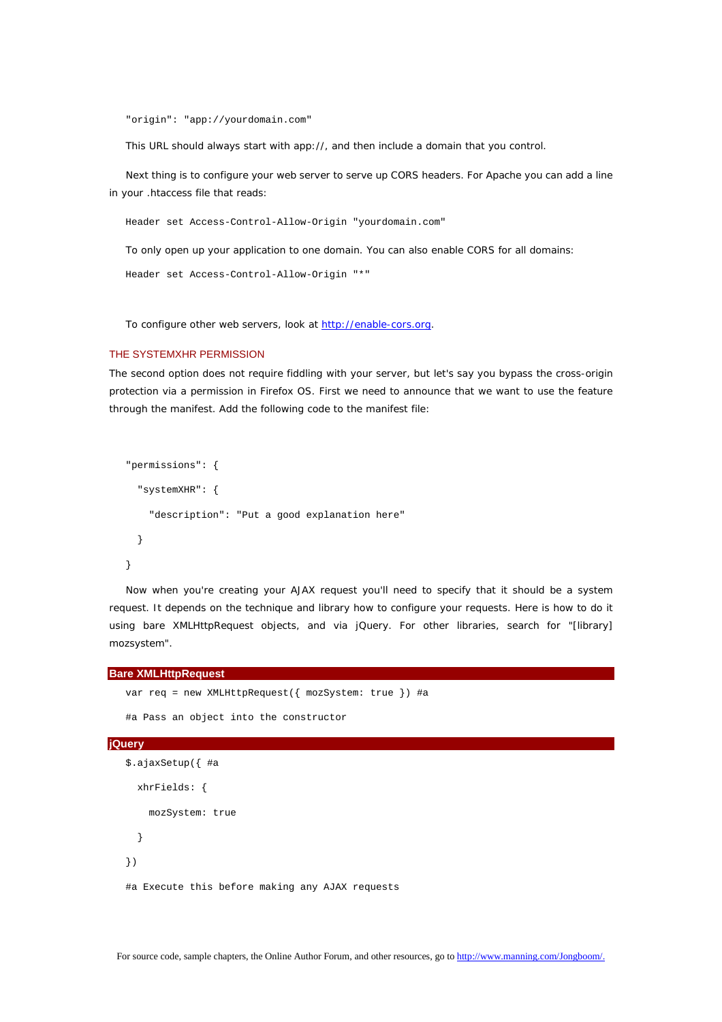"origin": "app://yourdomain.com"

This URL should always start with app://, and then include a domain that you control.

Next thing is to configure your web server to serve up CORS headers. For Apache you can add a line in your .htaccess file that reads:

Header set Access-Control-Allow-Origin "yourdomain.com"

To only open up your application to one domain. You can also enable CORS for all domains:

```
Header set Access-Control-Allow-Origin "*"
```
To configure other web servers, look at [http://enable-cors.org.](http://enable-cors.org/)

### THE SYSTEMXHR PERMISSION

The second option does not require fiddling with your server, but let's say you bypass the cross-origin protection via a permission in Firefox OS. First we need to announce that we want to use the feature through the manifest. Add the following code to the manifest file:

```
"permissions": {
   "systemXHR": {
     "description": "Put a good explanation here"
   }
}
```
Now when you're creating your AJAX request you'll need to specify that it should be a system request. It depends on the technique and library how to configure your requests. Here is how to do it using bare XMLHttpRequest objects, and via jQuery. For other libraries, search for "[library] mozsystem".

#### **Bare XMLHttpRequest**

```
var req = new XMLHttpRequest({ mozSystem: true }) #a
   #a Pass an object into the constructor
jQuery
   $.ajaxSetup({ #a
```

```
 xhrFields: {
     mozSystem: true
   }
})
#a Execute this before making any AJAX requests
```